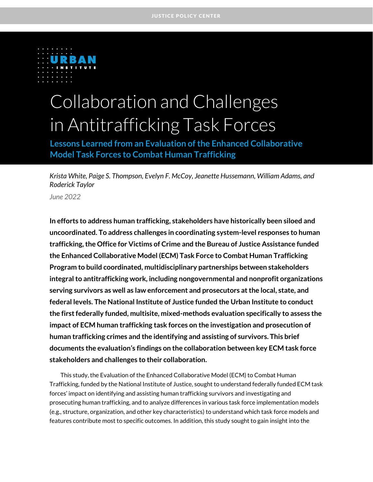

# Collaboration and Challenges in Antitrafficking Task Forces

**Lessons Learned from an Evaluation of the Enhanced Collaborative Model Task Forces to Combat Human Trafficking**

*Krista White, Paige S. Thompson, Evelyn F. McCoy, Jeanette Hussemann, William Adams, and Roderick Taylor*

*June 2022*

**In efforts to address human trafficking, stakeholders have historically been siloed and uncoordinated. To address challenges in coordinating system-level responses to human trafficking, the Office for Victims of Crime and the Bureau of Justice Assistance funded the Enhanced Collaborative Model (ECM) Task Force to Combat Human Trafficking Program to build coordinated, multidisciplinary partnerships between stakeholders integral to antitrafficking work, including nongovernmental and nonprofit organizations serving survivors as well as law enforcement and prosecutors at the local, state, and federal levels. The National Institute of Justice funded the Urban Institute to conduct the first federally funded, multisite, mixed-methods evaluation specifically to assess the impact of ECM human trafficking task forces on the investigation and prosecution of human trafficking crimes and the identifying and assisting of survivors. This brief documents the evaluation's findings on the collaboration between key ECM task force stakeholders and challenges to their collaboration.** 

This study, the Evaluation of the Enhanced Collaborative Model (ECM) to Combat Human Trafficking, funded by the National Institute of Justice, sought to understand federally funded ECM task forces' impact on identifying and assisting human trafficking survivors and investigating and prosecuting human trafficking, and to analyze differences in various task force implementation models (e.g., structure, organization, and other key characteristics) to understand which task force models and features contribute most to specific outcomes. In addition, this study sought to gain insight into the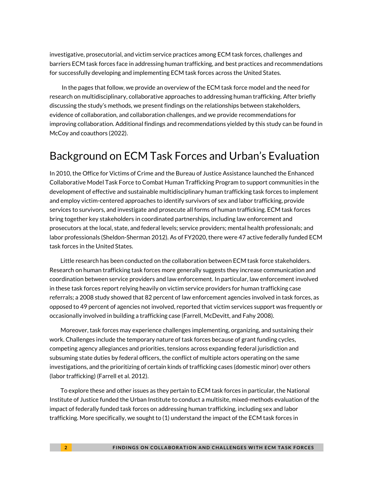investigative, prosecutorial, and victim service practices among ECM task forces, challenges and barriers ECM task forces face in addressing human trafficking, and best practices and recommendations for successfully developing and implementing ECM task forces across the United States.

In the pages that follow, we provide an overview of the ECM task force model and the need for research on multidisciplinary, collaborative approaches to addressing human trafficking. After briefly discussing the study's methods, we present findings on the relationships between stakeholders, evidence of collaboration, and collaboration challenges, and we provide recommendations for improving collaboration. Additional findings and recommendations yielded by this study can be found in McCoy and coauthors (2022).

### Background on ECM Task Forces and Urban's Evaluation

In 2010, the Office for Victims of Crime and the Bureau of Justice Assistance launched the Enhanced Collaborative Model Task Force to Combat Human Trafficking Program to support communities in the development of effective and sustainable multidisciplinary human trafficking task forces to implement and employ victim-centered approaches to identify survivors of sex and labor trafficking, provide services to survivors, and investigate and prosecute all forms of human trafficking. ECM task forces bring together key stakeholders in coordinated partnerships, including law enforcement and prosecutors at the local, state, and federal levels; service providers; mental health professionals; and labor professionals (Sheldon-Sherman 2012). As of FY2020, there were 47 active federally funded ECM task forces in the United States.

Little research has been conducted on the collaboration between ECM task force stakeholders. Research on human trafficking task forces more generally suggests they increase communication and coordination between service providers and law enforcement. In particular, law enforcement involved in these task forces report relying heavily on victim service providers for human trafficking case referrals; a 2008 study showed that 82 percent of law enforcement agencies involved in task forces, as opposed to 49 percent of agencies not involved, reported that victim services support was frequently or occasionally involved in building a trafficking case (Farrell, McDevitt, and Fahy 2008).

Moreover, task forces may experience challenges implementing, organizing, and sustaining their work. Challenges include the temporary nature of task forces because of grant funding cycles, competing agency allegiances and priorities, tensions across expanding federal jurisdiction and subsuming state duties by federal officers, the conflict of multiple actors operating on the same investigations, and the prioritizing of certain kinds of trafficking cases (domestic minor) over others (labor trafficking) (Farrell et al. 2012).

To explore these and other issues as they pertain to ECM task forces in particular, the National Institute of Justice funded the Urban Institute to conduct a multisite, mixed-methods evaluation of the impact of federally funded task forces on addressing human trafficking, including sex and labor trafficking. More specifically, we sought to (1) understand the impact of the ECM task forces in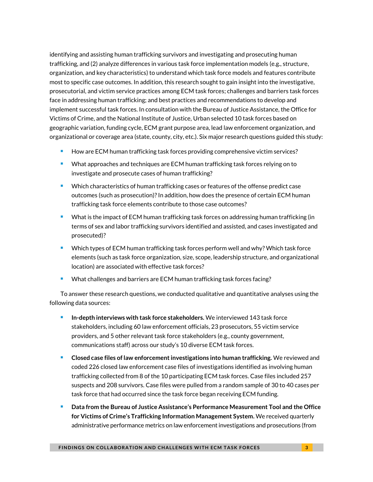identifying and assisting human trafficking survivors and investigating and prosecuting human trafficking, and (2) analyze differences in various task force implementation models (e.g., structure, organization, and key characteristics) to understand which task force models and features contribute most to specific case outcomes. In addition, this research sought to gain insight into the investigative, prosecutorial, and victim service practices among ECM task forces; challenges and barriers task forces face in addressing human trafficking; and best practices and recommendations to develop and implement successful task forces. In consultation with the Bureau of Justice Assistance, the Office for Victims of Crime, and the National Institute of Justice, Urban selected 10 task forces based on geographic variation, funding cycle, ECM grant purpose area, lead law enforcement organization, and organizational or coverage area (state, county, city, etc.). Six major research questions guided this study:

- How are ECM human trafficking task forces providing comprehensive victim services?
- What approaches and techniques are ECM human trafficking task forces relying on to investigate and prosecute cases of human trafficking?
- Which characteristics of human trafficking cases or features of the offense predict case outcomes (such as prosecution)? In addition, how does the presence of certain ECM human trafficking task force elements contribute to those case outcomes?
- What is the impact of ECM human trafficking task forces on addressing human trafficking (in terms of sex and labor trafficking survivors identified and assisted, and cases investigated and prosecuted)?
- Which types of ECM human trafficking task forces perform well and why? Which task force elements (such as task force organization, size, scope, leadership structure, and organizational location) are associated with effective task forces?
- What challenges and barriers are ECM human trafficking task forces facing?

To answer these research questions, we conducted qualitative and quantitative analyses using the following data sources:

- **In-depth interviews with task force stakeholders.** We interviewed 143 task force stakeholders, including 60 law enforcement officials, 23 prosecutors, 55 victim service providers, and 5 other relevant task force stakeholders (e.g., county government, communications staff) across our study's 10 diverse ECM task forces.
- <sup>◼</sup> **Closed case files of law enforcement investigations into human trafficking.** We reviewed and coded 226 closed law enforcement case files of investigations identified as involving human trafficking collected from 8 of the 10 participating ECM task forces. Case files included 257 suspects and 208 survivors. Case files were pulled from a random sample of 30 to 40 cases per task force that had occurred since the task force began receiving ECM funding.
- <sup>◼</sup> **Data from the Bureau of Justice Assistance's Performance Measurement Tool and the Office for Victims of Crime's Trafficking Information Management System.** We received quarterly administrative performance metrics on law enforcement investigations and prosecutions (from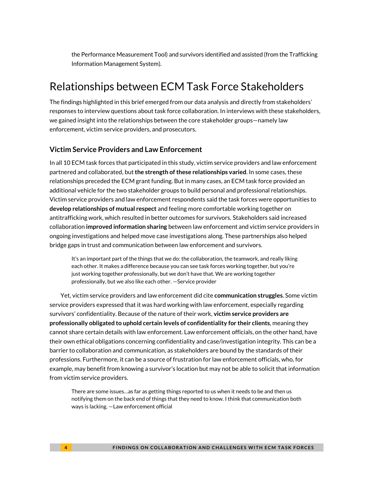the Performance Measurement Tool) and survivors identified and assisted (from the Trafficking Information Management System).

### Relationships between ECM Task Force Stakeholders

The findings highlighted in this brief emerged from our data analysis and directly from stakeholders' responses to interview questions about task force collaboration. In interviews with these stakeholders, we gained insight into the relationships between the core stakeholder groups—namely law enforcement, victim service providers, and prosecutors.

#### **Victim Service Providers and Law Enforcement**

In all 10 ECM task forces that participated in this study, victim service providers and law enforcement partnered and collaborated, but**the strength of these relationships varied**. In some cases, these relationships preceded the ECM grant funding. But in many cases, an ECM task force provided an additional vehicle for the two stakeholder groups to build personal and professional relationships. Victim service providers and law enforcement respondents said the task forces were opportunities to **develop relationships of mutual respect** and feeling more comfortable working together on antitrafficking work, which resulted in better outcomes for survivors. Stakeholders said increased collaboration **improved information sharing** between law enforcement and victim service providers in ongoing investigations and helped move case investigations along. These partnerships also helped bridge gaps in trust and communication between law enforcement and survivors.

It's an important part of the things that we do: the collaboration, the teamwork, and really liking each other. It makes a difference because you can see task forces working together, but you're just working together professionally, but we don't have that. We are working together professionally, but we also like each other. —Service provider

Yet, victim service providers and law enforcement did cite **communication struggles**. Some victim service providers expressed that it was hard working with law enforcement, especially regarding survivors' confidentiality. Because of the nature of their work, **victim service providers are professionally obligated to uphold certain levels of confidentiality for their clients**, meaning they cannot share certain details with law enforcement. Law enforcement officials, on the other hand, have their own ethical obligations concerning confidentiality and case/investigation integrity. This can be a barrier to collaboration and communication, as stakeholders are bound by the standards of their professions. Furthermore, it can be a source of frustration for law enforcement officials, who, for example, may benefit from knowing a survivor's location but may not be able to solicit that information from victim service providers.

There are some issues…as far as getting things reported to us when it needs to be and then us notifying them on the back end of things that they need to know. I think that communication both ways is lacking. —Law enforcement official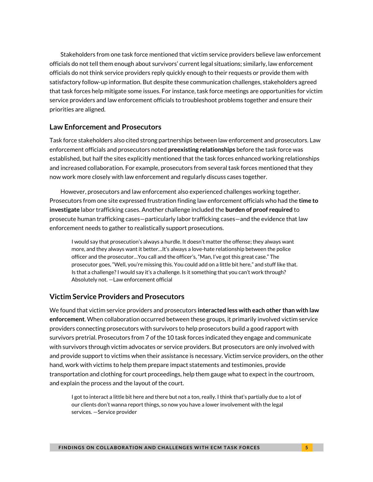Stakeholders from one task force mentioned that victim service providers believe law enforcement officials do not tell them enough about survivors' current legal situations; similarly, law enforcement officials do not think service providers reply quickly enough to their requests or provide them with satisfactory follow-up information. But despite these communication challenges, stakeholders agreed that task forces help mitigate some issues. For instance, task force meetings are opportunities for victim service providers and law enforcement officials to troubleshoot problems together and ensure their priorities are aligned.

#### **Law Enforcement and Prosecutors**

Task force stakeholders also cited strong partnerships between law enforcement and prosecutors. Law enforcement officials and prosecutors noted **preexisting relationships** before the task force was established, but half the sites explicitly mentioned that the task forces enhanced working relationships and increased collaboration. For example, prosecutors from several task forces mentioned that they now work more closely with law enforcement and regularly discuss cases together.

However, prosecutors and law enforcement also experienced challenges working together. Prosecutors from one site expressed frustration finding law enforcement officials who had the **time to investigate** labor trafficking cases. Another challenge included the **burden of proof required** to prosecute human trafficking cases—particularly labor trafficking cases—and the evidence that law enforcement needs to gather to realistically support prosecutions.

I would say that prosecution's always a hurdle. It doesn't matter the offense; they always want more, and they always want it better…It's always a love-hate relationship between the police officer and the prosecutor…You call and the officer's, "Man, I've got this great case." The prosecutor goes, "Well, you're missing this. You could add on a little bit here," and stuff like that. Is that a challenge? I would say it's a challenge. Is it something that you can't work through? Absolutely not. —Law enforcement official

#### **Victim Service Providers and Prosecutors**

We found that victim service providers and prosecutors **interacted less with each other than with law enforcement**. When collaboration occurred between these groups, it primarily involved victim service providers connecting prosecutors with survivors to help prosecutors build a good rapport with survivors pretrial. Prosecutors from 7 of the 10 task forces indicated they engage and communicate with survivors through victim advocates or service providers. But prosecutors are only involved with and provide support to victims when their assistance is necessary. Victim service providers, on the other hand, work with victims to help them prepare impact statements and testimonies, provide transportation and clothing for court proceedings, help them gauge what to expect in the courtroom, and explain the process and the layout of the court.

I got to interact a little bit here and there but not a ton, really. I think that's partially due to a lot of our clients don't wanna report things, so now you have a lower involvement with the legal services. —Service provider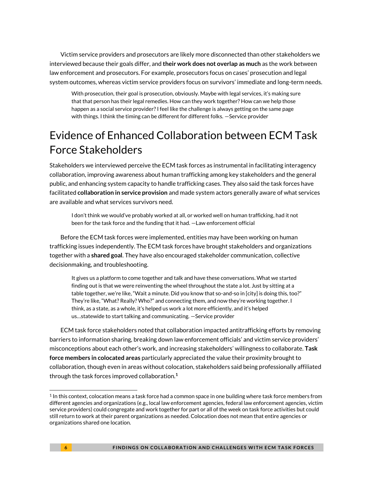Victim service providers and prosecutors are likely more disconnected than other stakeholders we interviewed because their goals differ, and **their work does not overlap as much** as the work between law enforcement and prosecutors. For example, prosecutors focus on cases' prosecution and legal system outcomes, whereas victim service providers focus on survivors' immediate and long-term needs.

With prosecution, their goal is prosecution, obviously. Maybe with legal services, it's making sure that that person has their legal remedies. How can they work together? How can we help those happen as a social service provider? I feel like the challenge is always getting on the same page with things. I think the timing can be different for different folks. —Service provider

# Evidence of Enhanced Collaboration between ECM Task Force Stakeholders

Stakeholders we interviewed perceive the ECM task forces as instrumental in facilitating interagency collaboration, improving awareness about human trafficking among key stakeholders and the general public, and enhancing system capacity to handle trafficking cases. They also said the task forces have facilitated **collaboration in service provision** and made system actors generally aware of what services are available and what services survivors need.

I don't think we would've probably worked at all, or worked well on human trafficking, had it not been for the task force and the funding that it had. —Law enforcement official

Before the ECM task forces were implemented, entities may have been working on human trafficking issues independently. The ECM task forces have brought stakeholders and organizations together with a **shared goal**. They have also encouraged stakeholder communication, collective decisionmaking, and troubleshooting.

It gives us a platform to come together and talk and have these conversations. What we started finding out is that we were reinventing the wheel throughout the state a lot. Just by sitting at a table together, we're like, "Wait a minute. Did you know that so-and-so in [city] is doing this, too?" They're like, "What? Really? Who?" and connecting them, and now they're working together. I think, as a state, as a whole, it's helped us work a lot more efficiently, and it's helped us…statewide to start talking and communicating. —Service provider

ECM task force stakeholders noted that collaboration impacted antitrafficking efforts by removing barriers to information sharing, breaking down law enforcement officials' and victim service providers' misconceptions about each other's work, and increasing stakeholders' willingness to collaborate. **Task force members in colocated areas** particularly appreciated the value their proximity brought to collaboration, though even in areas without colocation, stakeholders said being professionally affiliated through the task forces improved collaboration.**<sup>1</sup>**

 $1$  In this context, colocation means a task force had a common space in one building where task force members from different agencies and organizations (e.g., local law enforcement agencies, federal law enforcement agencies, victim service providers) could congregate and work together for part or all of the week on task force activities but could still return to work at their parent organizations as needed. Colocation does not mean that entire agencies or organizations shared one location.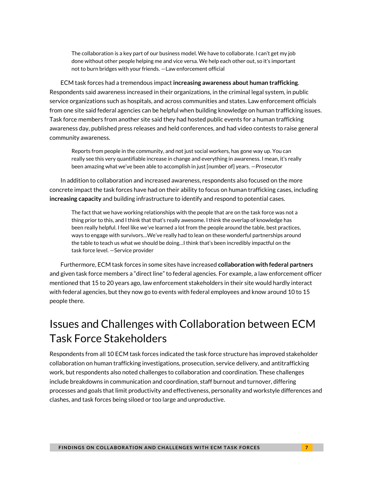The collaboration is a key part of our business model. We have to collaborate. I can't get my job done without other people helping me and vice versa. We help each other out, so it's important not to burn bridges with your friends. —Law enforcement official

ECM task forces had a tremendous impact **increasing awareness about human trafficking**. Respondents said awareness increased in their organizations, in the criminal legal system, in public service organizations such as hospitals, and across communities and states. Law enforcement officials from one site said federal agencies can be helpful when building knowledge on human trafficking issues. Task force members from another site said they had hosted public events for a human trafficking awareness day, published press releases and held conferences, and had video contests to raise general community awareness.

Reports from people in the community, and not just social workers, has gone way up. You can really see this very quantifiable increase in change and everything in awareness. I mean, it's really been amazing what we've been able to accomplish in just [number of] years. —Prosecutor

In addition to collaboration and increased awareness, respondents also focused on the more concrete impact the task forces have had on their ability to focus on human trafficking cases, including **increasing capacity** and building infrastructure to identify and respond to potential cases.

The fact that we have working relationships with the people that are on the task force was not a thing prior to this, and I think that that's really awesome. I think the overlap of knowledge has been really helpful. I feel like we've learned a lot from the people around the table, best practices, ways to engage with survivors…We've really had to lean on these wonderful partnerships around the table to teach us what we should be doing…I think that's been incredibly impactful on the task force level. —Service provider

Furthermore, ECM task forces in some sites have increased **collaboration with federal partners** and given task force members a "direct line" to federal agencies. For example, a law enforcement officer mentioned that 15 to 20 years ago, law enforcement stakeholders in their site would hardly interact with federal agencies, but they now go to events with federal employees and know around 10 to 15 people there.

# Issues and Challenges with Collaboration between ECM Task Force Stakeholders

Respondents from all 10 ECM task forces indicated the task force structure has improved stakeholder collaboration on human trafficking investigations, prosecution, service delivery, and antitrafficking work, but respondents also noted challenges to collaboration and coordination. These challenges include breakdowns in communication and coordination, staff burnout and turnover, differing processes and goals that limit productivity and effectiveness, personality and workstyle differences and clashes, and task forces being siloed or too large and unproductive.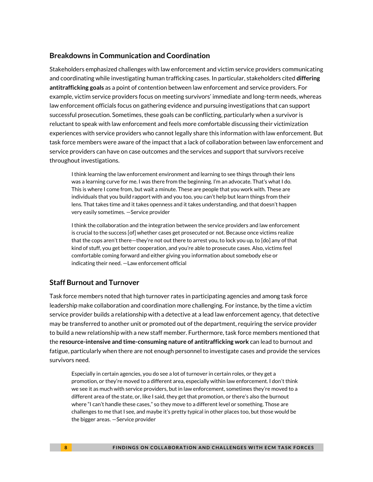#### **Breakdowns in Communication and Coordination**

Stakeholders emphasized challenges with law enforcement and victim service providers communicating and coordinating while investigating human trafficking cases. In particular, stakeholders cited **differing antitrafficking goals** as a point of contention between law enforcement and service providers. For example, victim service providers focus on meeting survivors' immediate and long-term needs, whereas law enforcement officials focus on gathering evidence and pursuing investigations that can support successful prosecution. Sometimes, these goals can be conflicting, particularly when a survivor is reluctant to speak with law enforcement and feels more comfortable discussing their victimization experiences with service providers who cannot legally share this information with law enforcement. But task force members were aware of the impact that a lack of collaboration between law enforcement and service providers can have on case outcomes and the services and support that survivors receive throughout investigations.

I think learning the law enforcement environment and learning to see things through their lens was a learning curve for me. I was there from the beginning. I'm an advocate. That's what I do. This is where I come from, but wait a minute. These are people that you work with. These are individuals that you build rapport with and you too, you can't help but learn things from their lens. That takes time and it takes openness and it takes understanding, and that doesn't happen very easily sometimes. —Service provider

I think the collaboration and the integration between the service providers and law enforcement is crucial to the success [of] whether cases get prosecuted or not. Because once victims realize that the cops aren't there—they're not out there to arrest you, to lock you up, to [do] any of that kind of stuff, you get better cooperation, and you're able to prosecute cases. Also, victims feel comfortable coming forward and either giving you information about somebody else or indicating their need. —Law enforcement official

#### **Staff Burnout and Turnover**

Task force members noted that high turnover rates in participating agencies and among task force leadership make collaboration and coordination more challenging. For instance, by the time a victim service provider builds a relationship with a detective at a lead law enforcement agency, that detective may be transferred to another unit or promoted out of the department, requiring the service provider to build a new relationship with a new staff member. Furthermore, task force members mentioned that the **resource-intensive and time-consuming nature of antitrafficking work** can lead to burnout and fatigue, particularly when there are not enough personnel to investigate cases and provide the services survivors need.

Especially in certain agencies, you do see a lot of turnover in certain roles, or they get a promotion, or they're moved to a different area, especially within law enforcement. I don't think we see it as much with service providers, but in law enforcement, sometimes they're moved to a different area of the state, or, like I said, they get that promotion, or there's also the burnout where "I can't handle these cases," so they move to a different level or something. Those are challenges to me that I see, and maybe it's pretty typical in other places too, but those would be the bigger areas. —Service provider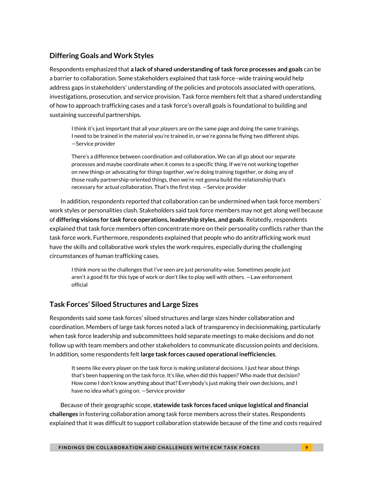#### **Differing Goals and Work Styles**

Respondents emphasized that **a lack of shared understanding of task force processes and goals** can be a barrier to collaboration. Some stakeholders explained that task force–wide training would help address gaps in stakeholders' understanding of the policies and protocols associated with operations, investigations, prosecution, and service provision. Task force members felt that a shared understanding of how to approach trafficking cases and a task force's overall goals is foundational to building and sustaining successful partnerships.

I think it's just important that all your players are on the same page and doing the same trainings. I need to be trained in the material you're trained in, or we're gonna be flying two different ships. —Service provider

There's a difference between coordination and collaboration. We can all go about our separate processes and maybe coordinate when it comes to a specific thing. If we're not working together on new things or advocating for things together, we're doing training together, or doing any of those really partnership-oriented things, then we're not gonna build the relationship that's necessary for actual collaboration. That's the first step. —Service provider

In addition, respondents reported that collaboration can be undermined when task force members' work styles or personalities clash. Stakeholders said task force members may not get along well because of **differing visions for task force operations, leadership styles, and goals**. Relatedly, respondents explained that task force members often concentrate more on their personality conflicts rather than the task force work. Furthermore, respondents explained that people who do antitrafficking work must have the skills and collaborative work styles the work requires, especially during the challenging circumstances of human trafficking cases.

I think more so the challenges that I've seen are just personality-wise. Sometimes people just aren't a good fit for this type of work or don't like to play well with others. —Law enforcement official

#### **Task Forces' Siloed Structures and Large Sizes**

Respondents said some task forces' siloed structures and large sizes hinder collaboration and coordination. Members of large task forces noted a lack of transparency in decisionmaking, particularly when task force leadership and subcommittees hold separate meetings to make decisions and do not follow up with team members and other stakeholders to communicate discussion points and decisions. In addition, some respondents felt **large task forces caused operational inefficiencies**.

It seems like every player on the task force is making unilateral decisions. I just hear about things that's been happening on the task force. It's like, when did this happen? Who made that decision? How come I don't know anything about that? Everybody's just making their own decisions, and I have no idea what's going on. —Service provider

Because of their geographic scope, **statewide task forces faced unique logistical and financial challenges** in fostering collaboration among task force members across their states. Respondents explained that it was difficult to support collaboration statewide because of the time and costs required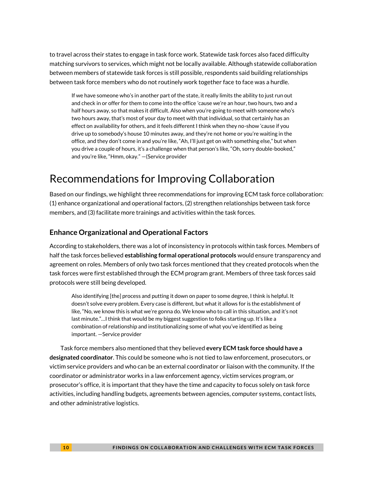to travel across their states to engage in task force work. Statewide task forces also faced difficulty matching survivors to services, which might not be locally available. Although statewide collaboration between members of statewide task forces is still possible, respondents said building relationships between task force members who do not routinely work together face to face was a hurdle.

If we have someone who's in another part of the state, it really limits the ability to just run out and check in or offer for them to come into the office 'cause we're an hour, two hours, two and a half hours away, so that makes it difficult. Also when you're going to meet with someone who's two hours away, that's most of your day to meet with that individual, so that certainly has an effect on availability for others, and it feels different I think when they no-show 'cause if you drive up to somebody's house 10 minutes away, and they're not home or you're waiting in the office, and they don't come in and you're like, "Ah, I'll just get on with something else," but when you drive a couple of hours, it's a challenge when that person's like, "Oh, sorry double-booked," and you're like, "Hmm, okay." —(Service provider

# Recommendations for Improving Collaboration

Based on our findings, we highlight three recommendations for improving ECM task force collaboration: (1) enhance organizational and operational factors, (2) strengthen relationships between task force members, and (3) facilitate more trainings and activities within the task forces.

#### **Enhance Organizational and Operational Factors**

According to stakeholders, there was a lot of inconsistency in protocols within task forces. Members of half the task forces believed **establishing formal operational protocols** would ensure transparency and agreement on roles. Members of only two task forces mentioned that they created protocols when the task forces were first established through the ECM program grant. Members of three task forces said protocols were still being developed.

Also identifying [the] process and putting it down on paper to some degree, I think is helpful. It doesn't solve every problem. Every case is different, but what it allows for is the establishment of like, "No, we know this is what we're gonna do. We know who to call in this situation, and it's not last minute."…I think that would be my biggest suggestion to folks starting up. It's like a combination of relationship and institutionalizing some of what you've identified as being important. —Service provider

Task force members also mentioned that they believed **every ECM task force should have a designated coordinator**. This could be someone who is not tied to law enforcement, prosecutors, or victim service providers and who can be an external coordinator or liaison with the community. If the coordinator or administrator works in a law enforcement agency, victim services program, or prosecutor's office, it is important that they have the time and capacity to focus solely on task force activities, including handling budgets, agreements between agencies, computer systems, contact lists, and other administrative logistics.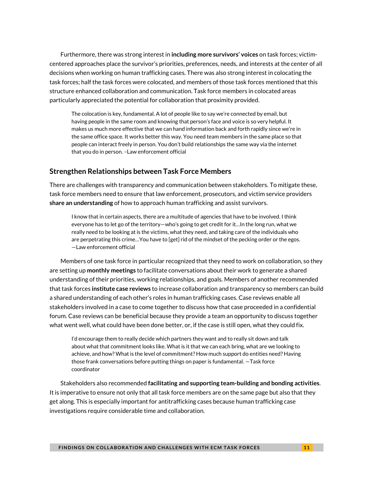Furthermore, there was strong interest in **including more survivors' voices** on task forces; victimcentered approaches place the survivor's priorities, preferences, needs, and interests at the center of all decisions when working on human trafficking cases. There was also strong interest in colocating the task forces; half the task forces were colocated, and members of those task forces mentioned that this structure enhanced collaboration and communication. Task force members in colocated areas particularly appreciated the potential for collaboration that proximity provided.

The colocation is key, fundamental. A lot of people like to say we're connected by email, but having people in the same room and knowing that person's face and voice is so very helpful. It makes us much more effective that we can hand information back and forth rapidly since we're in the same office space. It works better this way. You need team members in the same place so that people can interact freely in person. You don't build relationships the same way via the internet that you do in person. –Law enforcement official

#### **Strengthen Relationships between Task Force Members**

There are challenges with transparency and communication between stakeholders. To mitigate these, task force members need to ensure that law enforcement, prosecutors, and victim service providers **share an understanding** of how to approach human trafficking and assist survivors.

I know that in certain aspects, there are a multitude of agencies that have to be involved. I think everyone has to let go of the territory—who's going to get credit for it…In the long run, what we really need to be looking at is the victims, what they need, and taking care of the individuals who are perpetrating this crime…You have to [get] rid of the mindset of the pecking order or the egos. —Law enforcement official

Members of one task force in particular recognized that they need to work on collaboration, so they are setting up **monthly meetings** to facilitate conversations about their work to generate a shared understanding of their priorities, working relationships, and goals. Members of another recommended that task forces **institute case reviews** to increase collaboration and transparency so members can build a shared understanding of each other's roles in human trafficking cases. Case reviews enable all stakeholders involved in a case to come together to discuss how that case proceeded in a confidential forum. Case reviews can be beneficial because they provide a team an opportunity to discuss together what went well, what could have been done better, or, if the case is still open, what they could fix.

I'd encourage them to really decide which partners they want and to really sit down and talk about what that commitment looks like. What is it that we can each bring, what are we looking to achieve, and how? What is the level of commitment? How much support do entities need? Having those frank conversations before putting things on paper is fundamental. —Task force coordinator

Stakeholders also recommended **facilitating and supporting team-building and bonding activities**. It is imperative to ensure not only that all task force members are on the same page but also that they get along. This is especially important for antitrafficking cases because human trafficking case investigations require considerable time and collaboration.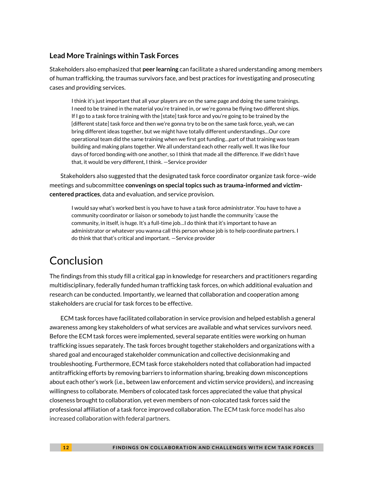#### **Lead More Trainings within Task Forces**

Stakeholders also emphasized that **peer learning** can facilitate a shared understanding among members of human trafficking, the traumas survivors face, and best practices for investigating and prosecuting cases and providing services.

I think it's just important that all your players are on the same page and doing the same trainings. I need to be trained in the material you're trained in, or we're gonna be flying two different ships. If I go to a task force training with the [state] task force and you're going to be trained by the [different state] task force and then we're gonna try to be on the same task force, yeah, we can bring different ideas together, but we might have totally different understandings…Our core operational team did the same training when we first got funding…part of that training was team building and making plans together. We all understand each other really well. It was like four days of forced bonding with one another, so I think that made all the difference. If we didn't have that, it would be very different, I think. —Service provider

Stakeholders also suggested that the designated task force coordinator organize task force–wide meetings and subcommittee **convenings on special topics such as trauma-informed and victimcentered practices**, data and evaluation, and service provision.

I would say what's worked best is you have to have a task force administrator. You have to have a community coordinator or liaison or somebody to just handle the community 'cause the community, in itself, is huge. It's a full-time job…I do think that it's important to have an administrator or whatever you wanna call this person whose job is to help coordinate partners. I do think that that's critical and important. —Service provider

# Conclusion

The findings from this study fill a critical gap in knowledge for researchers and practitioners regarding multidisciplinary, federally funded human trafficking task forces, on which additional evaluation and research can be conducted. Importantly, we learned that collaboration and cooperation among stakeholders are crucial for task forces to be effective.

ECM task forces have facilitated collaboration in service provision and helped establish a general awareness among key stakeholders of what services are available and what services survivors need. Before the ECM task forces were implemented, several separate entities were working on human trafficking issues separately. The task forces brought together stakeholders and organizations with a shared goal and encouraged stakeholder communication and collective decisionmaking and troubleshooting. Furthermore, ECM task force stakeholders noted that collaboration had impacted antitrafficking efforts by removing barriers to information sharing, breaking down misconceptions about each other's work (i.e., between law enforcement and victim service providers), and increasing willingness to collaborate. Members of colocated task forces appreciated the value that physical closeness brought to collaboration, yet even members of non-colocated task forces said the professional affiliation of a task force improved collaboration. The ECM task force model has also increased collaboration with federal partners.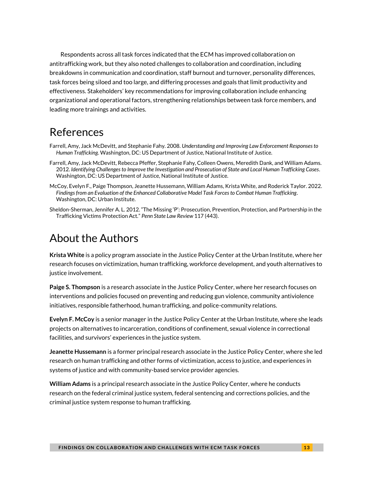Respondents across all task forces indicated that the ECM has improved collaboration on antitrafficking work, but they also noted challenges to collaboration and coordination, including breakdowns in communication and coordination, staff burnout and turnover, personality differences, task forces being siloed and too large, and differing processes and goals that limit productivity and effectiveness. Stakeholders' key recommendations for improving collaboration include enhancing organizational and operational factors, strengthening relationships between task force members, and leading more trainings and activities.

### References

- Farrell, Amy, Jack McDevitt, and Stephanie Fahy. 2008. *Understanding and Improving Law Enforcement Responses to Human Trafficking*. Washington, DC: US Department of Justice, National Institute of Justice.
- Farrell, Amy, Jack McDevitt, Rebecca Pfeffer, Stephanie Fahy, Colleen Owens, Meredith Dank, and William Adams. 2012. *Identifying Challenges to Improve the Investigation and Prosecution of State and Local Human Trafficking Cases*. Washington, DC: US Department of Justice, National Institute of Justice.
- McCoy, Evelyn F., Paige Thompson, Jeanette Hussemann, William Adams, Krista White, and Roderick Taylor. 2022. *Findings from an Evaluation of the Enhanced Collaborative Model Task Forces to Combat Human Trafficking*. Washington, DC: Urban Institute.
- Sheldon-Sherman, Jennifer A. L. 2012. "The Missing 'P': Prosecution, Prevention, Protection, and Partnership in the Trafficking Victims Protection Act." *Penn State Law Review* 117 (443).

### About the Authors

**Krista White** is a policy program associate in the Justice Policy Center at the Urban Institute, where her research focuses on victimization, human trafficking, workforce development, and youth alternatives to justice involvement.

**Paige S. Thompson** is a research associate in the Justice Policy Center, where her research focuses on interventions and policies focused on preventing and reducing gun violence, community antiviolence initiatives, responsible fatherhood, human trafficking, and police-community relations.

**Evelyn F. McCoy** is a senior manager in the Justice Policy Center at the Urban Institute, where she leads projects on alternatives to incarceration, conditions of confinement, sexual violence in correctional facilities, and survivors' experiences in the justice system.

**Jeanette Hussemann** is a former principal research associate in the Justice Policy Center, where she led research on human trafficking and other forms of victimization, access to justice, and experiences in systems of justice and with community-based service provider agencies.

**William Adams** is a principal research associate in the Justice Policy Center, where he conducts research on the federal criminal justice system, federal sentencing and corrections policies, and the criminal justice system response to human trafficking.